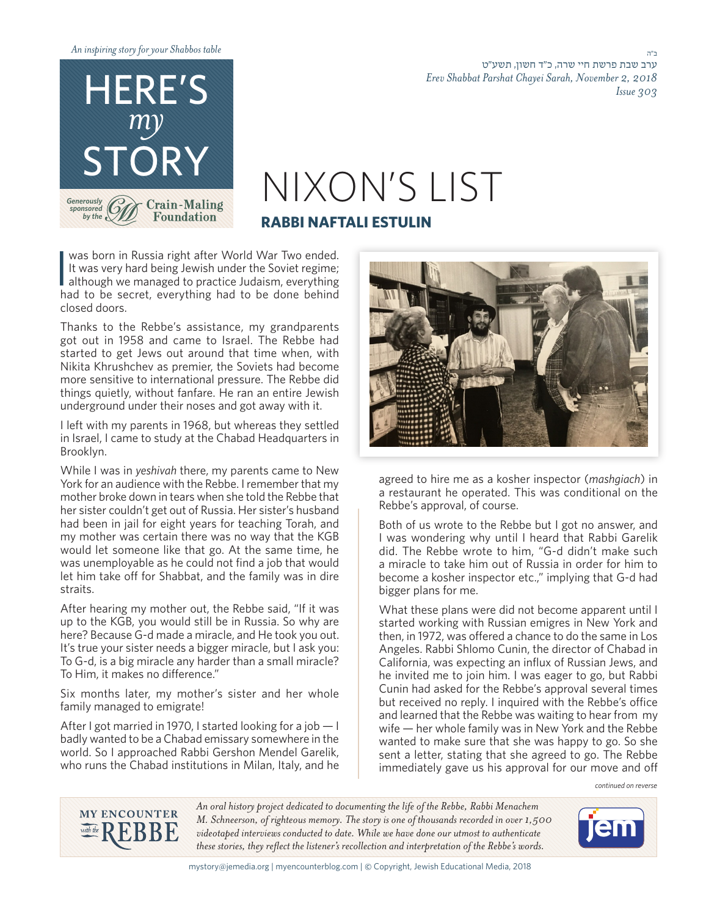

ב"ה ערב שבת פרשת חיי שרה, כ''ד חשון, תשע״ט *2018 2, November ,Sarah Chayei Parshat Shabbat Erev 303 Issue*

## TORY<br>General MIXON'S LIST **RABBI NAFTALI ESTULIN**

It was born in Russia right after World War Two ended.<br>It was very hard being Jewish under the Soviet regime;<br>although we managed to practice Judaism, everything<br>had to be secret, everything had to be done behind was born in Russia right after World War Two ended. It was very hard being Jewish under the Soviet regime; although we managed to practice Judaism, everything closed doors.

Thanks to the Rebbe's assistance, my grandparents got out in 1958 and came to Israel. The Rebbe had started to get Jews out around that time when, with Nikita Khrushchev as premier, the Soviets had become more sensitive to international pressure. The Rebbe did things quietly, without fanfare. He ran an entire Jewish underground under their noses and got away with it.

I left with my parents in 1968, but whereas they settled in Israel, I came to study at the Chabad Headquarters in .Brooklyn

While I was in yeshivah there, my parents came to New York for an audience with the Rebbe. I remember that my mother broke down in tears when she told the Rebbe that her sister couldn't get out of Russia. Her sister's husband had been in jail for eight years for teaching Torah, and my mother was certain there was no way that the KGB would let someone like that go. At the same time, he was unemployable as he could not find a job that would let him take off for Shabbat, and the family was in dire .straits

After hearing my mother out, the Rebbe said, "If it was up to the KGB, you would still be in Russia. So why are here? Because G-d made a miracle, and He took you out. It's true your sister needs a bigger miracle, but I ask you: To G-d, is a big miracle any harder than a small miracle? To Him, it makes no difference."

Six months later, my mother's sister and her whole family managed to emigrate!

After I got married in 1970, I started looking for a job  $-1$ badly wanted to be a Chabad emissary somewhere in the world. So I approached Rabbi Gershon Mendel Garelik, who runs the Chabad institutions in Milan, Italy, and he



agreed to hire me as a kosher inspector (*mashgiach*) in a restaurant he operated. This was conditional on the Rebbe's approval, of course.

Both of us wrote to the Rebbe but I got no answer, and I was wondering why until I heard that Rabbi Garelik did. The Rebbe wrote to him, "G-d didn't make such a miracle to take him out of Russia in order for him to become a kosher inspector etc.," implying that G-d had bigger plans for me.

What these plans were did not become apparent until I started working with Russian emigres in New York and then, in 1972, was offered a chance to do the same in Los Angeles. Rabbi Shlomo Cunin, the director of Chabad in California, was expecting an influx of Russian Jews, and he invited me to join him. I was eager to go, but Rabbi Cunin had asked for the Rebbe's approval several times but received no reply. I inquired with the Rebbe's office and learned that the Rebbe was waiting to hear from my  $w$ ife — her whole family was in New York and the Rebbe wanted to make sure that she was happy to go. So she sent a letter, stating that she agreed to go. The Rebbe immediately gave us his approval for our move and off

*reverse on continued*



An oral history project dedicated to documenting the life of the Rebbe, Rabbi Menachem *M. Schneerson, of righteous memory. The story is one of thousands recorded in over 1,500* videotaped interviews conducted to date. While we have done our utmost to authenticate these stories, they reflect the listener's recollection and interpretation of the Rebbe's words.



mystory@jemedia.org | myencounterblog.com | © Copyright, Jewish Educational Media, 2018